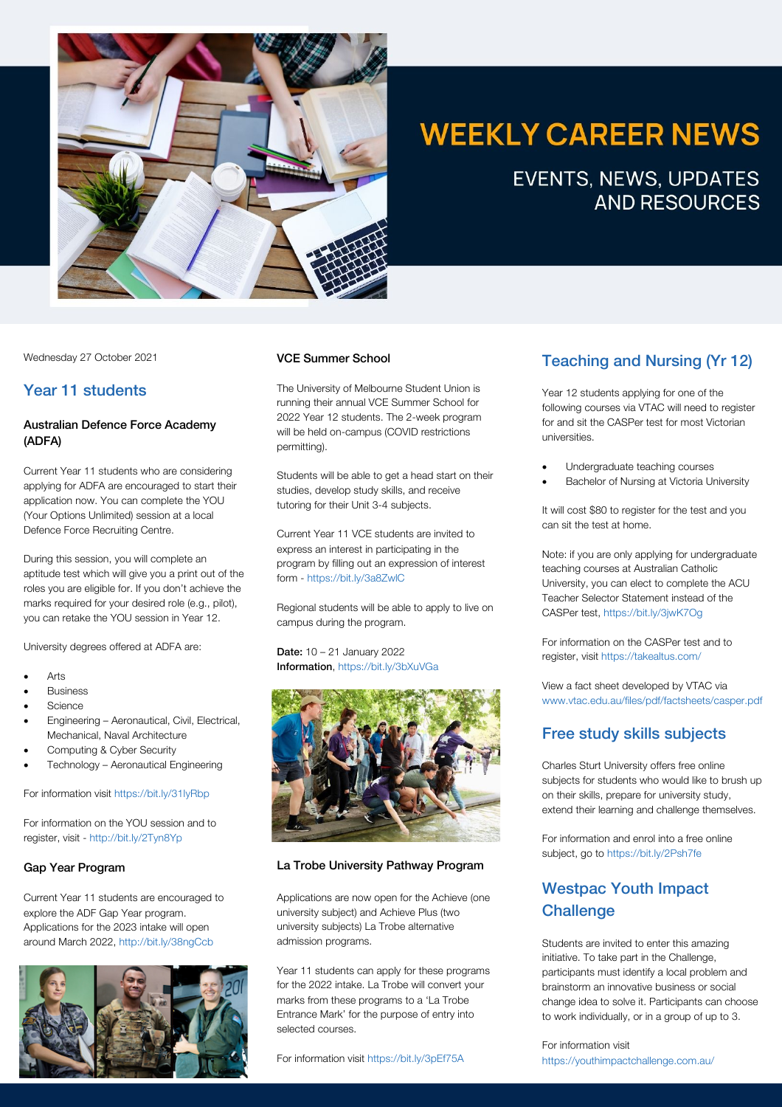

# **WEEKLY CAREER NEWS**

**EVENTS, NEWS, UPDATES AND RESOURCES** 

Wednesday 27 October 2021

# Year 11 students

# Australian Defence Force Academy (ADFA)

Current Year 11 students who are considering applying for ADFA are encouraged to start their application now. You can complete the YOU (Your Options Unlimited) session at a local Defence Force Recruiting Centre.

During this session, you will complete an aptitude test which will give you a print out of the roles you are eligible for. If you don't achieve the marks required for your desired role (e.g., pilot), you can retake the YOU session in Year 12.

University degrees offered at ADFA are:

- Arts
- **Business**
- Science
- Engineering Aeronautical, Civil, Electrical, Mechanical, Naval Architecture
- Computing & Cyber Security
- Technology Aeronautical Engineering

For information visit https://bit.ly/31IyRbp

For information on the YOU session and to register, visit - http://bit.ly/2Tyn8Yp

## Gap Year Program

Current Year 11 students are encouraged to explore the ADF Gap Year program. Applications for the 2023 intake will open around March 2022, http://bit.ly/38ngCcb



## VCE Summer School

The University of Melbourne Student Union is running their annual VCE Summer School for 2022 Year 12 students. The 2-week program will be held on-campus (COVID restrictions permitting).

Students will be able to get a head start on their studies, develop study skills, and receive tutoring for their Unit 3-4 subjects.

Current Year 11 VCE students are invited to express an interest in participating in the program by filling out an expression of interest form - https://bit.ly/3a8ZwlC

Regional students will be able to apply to live on campus during the program.

Date: 10 – 21 January 2022 Information, https://bit.ly/3bXuVGa



## La Trobe University Pathway Program

Applications are now open for the Achieve (one university subject) and Achieve Plus (two university subjects) La Trobe alternative admission programs.

Year 11 students can apply for these programs for the 2022 intake. La Trobe will convert your marks from these programs to a 'La Trobe Entrance Mark' for the purpose of entry into selected courses.

For information visit https://bit.ly/3pEf75A

# Teaching and Nursing (Yr 12)

Year 12 students applying for one of the following courses via VTAC will need to register for and sit the CASPer test for most Victorian universities.

- Undergraduate teaching courses
- Bachelor of Nursing at Victoria University

It will cost \$80 to register for the test and you can sit the test at home.

Note: if you are only applying for undergraduate teaching courses at Australian Catholic University, you can elect to complete the ACU Teacher Selector Statement instead of the CASPer test, https://bit.ly/3jwK7Og

For information on the CASPer test and to register, visit https://takealtus.com/

View a fact sheet developed by VTAC via www.vtac.edu.au/files/pdf/factsheets/casper.pdf

# Free study skills subjects

Charles Sturt University offers free online subjects for students who would like to brush up on their skills, prepare for university study, extend their learning and challenge themselves.

For information and enrol into a free online subject, go to https://bit.ly/2Psh7fe

# Westpac Youth Impact **Challenge**

Students are invited to enter this amazing initiative. To take part in the Challenge, participants must identify a local problem and brainstorm an innovative business or social change idea to solve it. Participants can choose to work individually, or in a group of up to 3.

For information visit https://youthimpactchallenge.com.au/